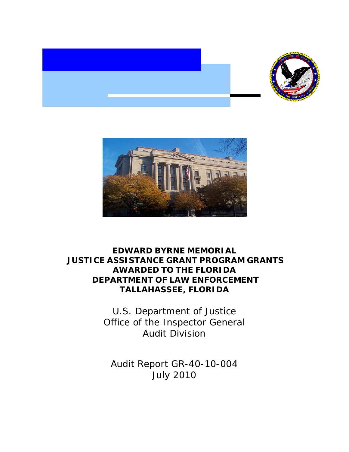



 $\overline{\phantom{0}}$ 

# **EDWARD BYRNE MEMORIAL JUSTICE ASSISTANCE GRANT PROGRAM GRANTS AWARDED TO THE FLORIDA DEPARTMENT OF LAW ENFORCEMENT TALLAHASSEE, FLORIDA**

 Office of the Inspector General U.S. Department of Justice Audit Division

 Audit Report GR-40-10-004 July 2010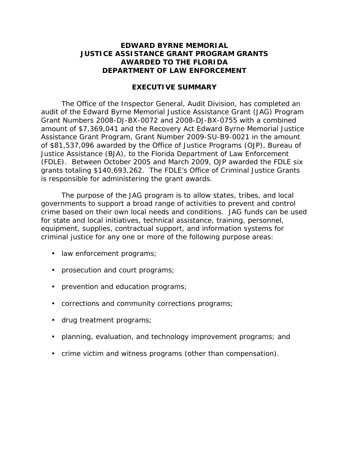## **JUSTICE ASSISTANCE GRANT PROGRAM GRANTS EDWARD BYRNE MEMORIAL AWARDED TO THE FLORIDA DEPARTMENT OF LAW ENFORCEMENT**

#### **EXECUTIVE SUMMARY**

 audit of the Edward Byrne Memorial Justice Assistance Grant (JAG) Program Grant Numbers 2008-DJ-BX-0072 and 2008-DJ-BX-0755 with a combined Justice Assistance (BJA), to the Florida Department of Law Enforcement (FDLE). Between October 2005 and March 2009, OJP awarded the FDLE six grants totaling \$140,693,262. The FDLE's Office of Criminal Justice Grants is responsible for administering the grant awards. The Office of the Inspector General, Audit Division, has completed an amount of \$7,369,041 and the Recovery Act Edward Byrne Memorial Justice Assistance Grant Program, Grant Number 2009-SU-B9-0021 in the amount of \$81,537,096 awarded by the Office of Justice Programs (OJP), Bureau of

 The purpose of the JAG program is to allow states, tribes, and local governments to support a broad range of activities to prevent and control crime based on their own local needs and conditions. JAG funds can be used for state and local initiatives, technical assistance, training, personnel, equipment, supplies, contractual support, and information systems for criminal justice for any one or more of the following purpose areas:

- law enforcement programs;
- prosecution and court programs;
- prevention and education programs;
- corrections and community corrections programs;
- drug treatment programs;
- planning, evaluation, and technology improvement programs; and
- crime victim and witness programs (other than compensation).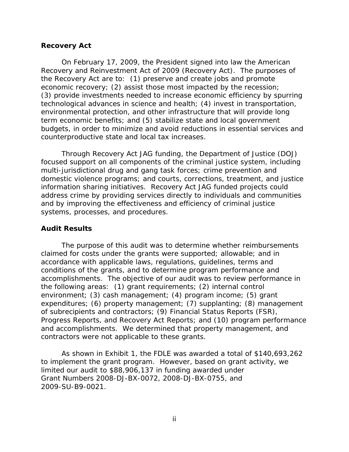#### **Recovery Act**

 Recovery and Reinvestment Act of 2009 (Recovery Act). The purposes of the Recovery Act are to: (1) preserve and create jobs and promote technological advances in science and health; (4) invest in transportation, counterproductive state and local tax increases. On February 17, 2009, the President signed into law the American economic recovery; (2) assist those most impacted by the recession; (3) provide investments needed to increase economic efficiency by spurring environmental protection, and other infrastructure that will provide long term economic benefits; and (5) stabilize state and local government budgets, in order to minimize and avoid reductions in essential services and

 Through Recovery Act JAG funding, the Department of Justice (DOJ) focused support on all components of the criminal justice system, including address crime by providing services directly to individuals and communities multi-jurisdictional drug and gang task forces; crime prevention and domestic violence programs; and courts, corrections, treatment, and justice information sharing initiatives. Recovery Act JAG funded projects could and by improving the effectiveness and efficiency of criminal justice systems, processes, and procedures.

## **Audit Results**

 accomplishments. The objective of our audit was to review performance in environment; (3) cash management; (4) program income; (5) grant expenditures; (6) property management; (7) supplanting; (8) management contractors were not applicable to these grants. The purpose of this audit was to determine whether reimbursements claimed for costs under the grants were supported; allowable; and in accordance with applicable laws, regulations, guidelines, terms and conditions of the grants, and to determine program performance and the following areas: (1) grant requirements; (2) internal control of subrecipients and contractors; (9) Financial Status Reports (FSR), Progress Reports, and Recovery Act Reports; and (10) program performance and accomplishments. We determined that property management, and

 to implement the grant program. However, based on grant activity, we Grant Numbers 2008-DJ-BX-0072, 2008-DJ-BX-0755, and<br>2009-SU-B9-0021.<br>ii 2009-SU-B9-0021. As shown in Exhibit 1, the FDLE was awarded a total of \$140,693,262 limited our audit to \$88,906,137 in funding awarded under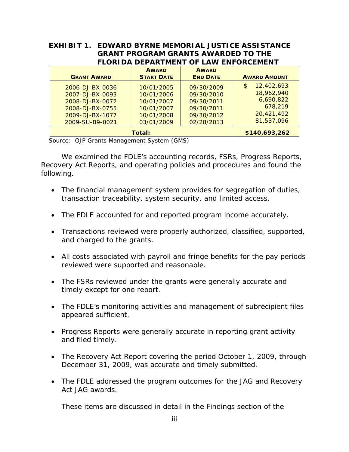|                                              | EXHIBIT 1. EDWARD BYRNE MEMORIAL JUSTICE ASSISTANCE |
|----------------------------------------------|-----------------------------------------------------|
| <b>GRANT PROGRAM GRANTS AWARDED TO THE</b>   |                                                     |
| <b>FLORIDA DEPARTMENT OF LAW ENFORCEMENT</b> |                                                     |

| <b>GRANT AWARD</b>                                                                                             | <b>AWARD</b><br><b>START DATE</b>                                                | <b>AWARD</b><br><b>END DATE</b>                                                  | <b>AWARD AMOUNT</b>                                                               |
|----------------------------------------------------------------------------------------------------------------|----------------------------------------------------------------------------------|----------------------------------------------------------------------------------|-----------------------------------------------------------------------------------|
| 2006-DJ-BX-0036<br>2007-DJ-BX-0093<br>2008-DJ-BX-0072<br>2008-DJ-BX-0755<br>2009-DJ-BX-1077<br>2009-SU-B9-0021 | 10/01/2005<br>10/01/2006<br>10/01/2007<br>10/01/2007<br>10/01/2008<br>03/01/2009 | 09/30/2009<br>09/30/2010<br>09/30/2011<br>09/30/2011<br>09/30/2012<br>02/28/2013 | 12,402,693<br>S<br>18,962,940<br>6,690,822<br>678,219<br>20,421,492<br>81,537,096 |
| Total:                                                                                                         |                                                                                  |                                                                                  | \$140,693,262                                                                     |

Source: OJP Grants Management System (GMS)

 We examined the FDLE's accounting records, FSRs, Progress Reports, Recovery Act Reports, and operating policies and procedures and found the following.

- The financial management system provides for segregation of duties, transaction traceability, system security, and limited access.
- The FDLE accounted for and reported program income accurately.
- Transactions reviewed were properly authorized, classified, supported, and charged to the grants.
- All costs associated with payroll and fringe benefits for the pay periods reviewed were supported and reasonable.
- timely except for one report. • The FSRs reviewed under the grants were generally accurate and
- The FDLE's monitoring activities and management of subrecipient files appeared sufficient.
- Progress Reports were generally accurate in reporting grant activity and filed timely.
- The Recovery Act Report covering the period October 1, 2009, through December 31, 2009, was accurate and timely submitted.
- The FDLE addressed the program outcomes for the JAG and Recovery Act JAG awards.

These items are discussed in detail in the Findings section of the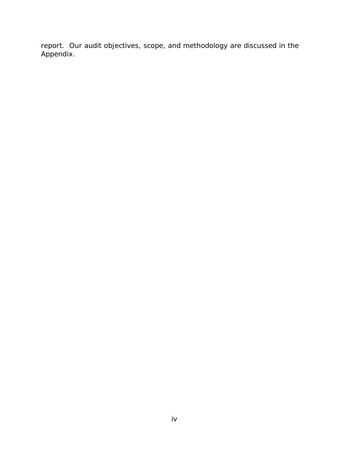report. Our audit objectives, scope, and methodology are discussed in the Appendix.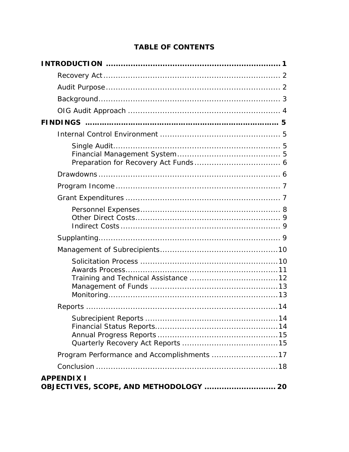# **TABLE OF CONTENTS**

| Program Performance and Accomplishments 17                  |
|-------------------------------------------------------------|
|                                                             |
| <b>APPENDIX I</b><br>OBJECTIVES, SCOPE, AND METHODOLOGY  20 |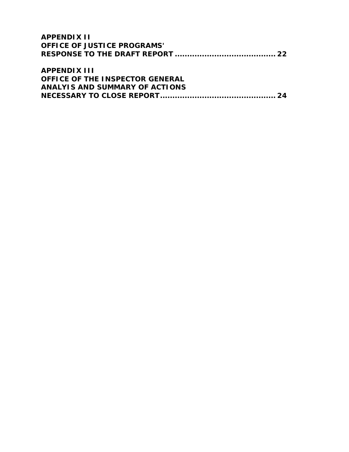| <b>APPENDIX II</b>                 |  |
|------------------------------------|--|
| <b>OFFICE OF JUSTICE PROGRAMS'</b> |  |
|                                    |  |
|                                    |  |
| <b>ADDENDIY III</b>                |  |

| APPENDIA III                           |  |
|----------------------------------------|--|
| <b>OFFICE OF THE INSPECTOR GENERAL</b> |  |
| ANALYIS AND SUMMARY OF ACTIONS         |  |
|                                        |  |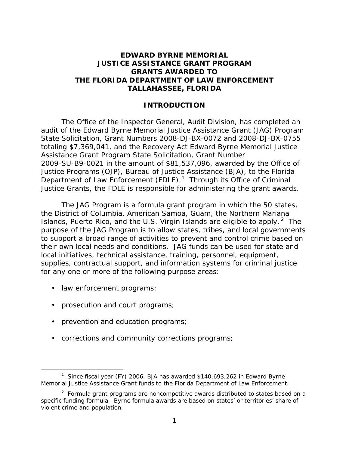## <span id="page-7-0"></span>**EDWARD BYRNE MEMORIAL JUSTICE ASSISTANCE GRANT PROGRAM GRANTS AWARDED TO THE FLORIDA DEPARTMENT OF LAW ENFORCEMENT TALLAHASSEE, FLORIDA**

## **INTRODUCTION**

 audit of the Edward Byrne Memorial Justice Assistance Grant (JAG) Program Assistance Grant Program State Solicitation, Grant Number Department of Law Enforcement (FDLE).<sup>1</sup> Through its Office of Criminal The Office of the Inspector General, Audit Division, has completed an State Solicitation, Grant Numbers 2008-DJ-BX-0072 and 2008-DJ-BX-0755 totaling \$7,369,041, and the Recovery Act Edward Byrne Memorial Justice 2009-SU-B9-0021 in the amount of \$81,537,096, awarded by the Office of Justice Programs (OJP), Bureau of Justice Assistance (BJA), to the Florida Justice Grants, the FDLE is responsible for administering the grant awards.

The JAG Program is a formula grant program in which the 50 states, Islands, Puerto Rico, and the U.S. Virgin Islands are eligible to apply.<sup>2</sup> The the District of Columbia, American Samoa, Guam, the Northern Mariana purpose of the JAG Program is to allow states, tribes, and local governments to support a broad range of activities to prevent and control crime based on their own local needs and conditions. JAG funds can be used for state and local initiatives, technical assistance, training, personnel, equipment, supplies, contractual support, and information systems for criminal justice for any one or more of the following purpose areas:

• law enforcement programs;

-

- prosecution and court programs;
- prevention and education programs;
- corrections and community corrections programs;

<span id="page-7-1"></span><sup>&</sup>lt;sup>1</sup> Since fiscal year (FY) 2006, BJA has awarded \$140,693,262 in Edward Byrne Memorial Justice Assistance Grant funds to the Florida Department of Law Enforcement.

<span id="page-7-2"></span> $2$  Formula grant programs are noncompetitive awards distributed to states based on a specific funding formula. Byrne formula awards are based on states' or territories' share of violent crime and population.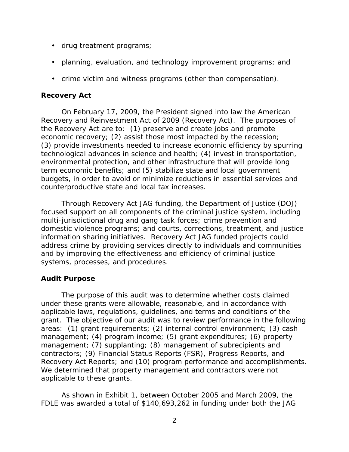- <span id="page-8-0"></span>• drug treatment programs;
- planning, evaluation, and technology improvement programs; and
- crime victim and witness programs (other than compensation).

## **Recovery Act**

 Recovery and Reinvestment Act of 2009 (Recovery Act). The purposes of the Recovery Act are to: (1) preserve and create jobs and promote technological advances in science and health; (4) invest in transportation, On February 17, 2009, the President signed into law the American economic recovery; (2) assist those most impacted by the recession; (3) provide investments needed to increase economic efficiency by spurring environmental protection, and other infrastructure that will provide long term economic benefits; and (5) stabilize state and local government budgets, in order to avoid or minimize reductions in essential services and counterproductive state and local tax increases.

 Through Recovery Act JAG funding, the Department of Justice (DOJ) focused support on all components of the criminal justice system, including domestic violence programs; and courts, corrections, treatment, and justice address crime by providing services directly to individuals and communities multi-jurisdictional drug and gang task forces; crime prevention and information sharing initiatives. Recovery Act JAG funded projects could and by improving the effectiveness and efficiency of criminal justice systems, processes, and procedures.

## **Audit Purpose**

 management; (4) program income; (5) grant expenditures; (6) property The purpose of this audit was to determine whether costs claimed under these grants were allowable, reasonable, and in accordance with applicable laws, regulations, guidelines, and terms and conditions of the grant. The objective of our audit was to review performance in the following areas: (1) grant requirements; (2) internal control environment; (3) cash management; (7) supplanting; (8) management of subrecipients and contractors; (9) Financial Status Reports (FSR), Progress Reports, and Recovery Act Reports; and (10) program performance and accomplishments. We determined that property management and contractors were not applicable to these grants.

 FDLE was awarded a total of \$140,693,262 in funding under both the JAG As shown in Exhibit 1, between October 2005 and March 2009, the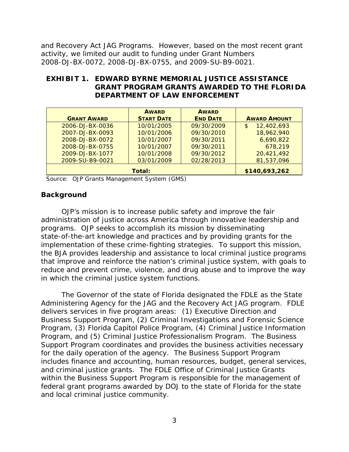2008-DJ-BX-0072, 2008-DJ-BX-0755, and 2009-SU-B9-0021. and Recovery Act JAG Programs. However, based on the most recent grant activity, we limited our audit to funding under Grant Numbers

## **EXHIBIT 1. EDWARD BYRNE MEMORIAL JUSTICE ASSISTANCE GRANT PROGRAM GRANTS AWARDED TO THE FLORIDA DEPARTMENT OF LAW ENFORCEMENT**

|                    | <b>AWARD</b>      | <b>AWARD</b>    |                              |
|--------------------|-------------------|-----------------|------------------------------|
| <b>GRANT AWARD</b> | <b>START DATE</b> | <b>END DATE</b> | <b>AWARD AMOUNT</b>          |
| 2006-DJ-BX-0036    | 10/01/2005        | 09/30/2009      | 12,402,693<br>$\mathfrak{L}$ |
| 2007-DJ-BX-0093    | 10/01/2006        | 09/30/2010      | 18,962,940                   |
| 2008-DJ-BX-0072    | 10/01/2007        | 09/30/2011      | 6,690,822                    |
| 2008-DJ-BX-0755    | 10/01/2007        | 09/30/2011      | 678,219                      |
| 2009-DJ-BX-1077    | 10/01/2008        | 09/30/2012      | 20,421,492                   |
| 2009-SU-B9-0021    | 03/01/2009        | 02/28/2013      | 81,537,096                   |
| Total:             |                   |                 | \$140,693,262                |

Source: OJP Grants Management System (GMS)

## **Background**

 programs. OJP seeks to accomplish its mission by disseminating OJP's mission is to increase public safety and improve the fair administration of justice across America through innovative leadership and state-of-the-art knowledge and practices and by providing grants for the implementation of these crime-fighting strategies. To support this mission, the BJA provides leadership and assistance to local criminal justice programs that improve and reinforce the nation's criminal justice system, with goals to reduce and prevent crime, violence, and drug abuse and to improve the way in which the criminal justice system functions.

 delivers services in five program areas: (1) Executive Direction and Program, and (5) Criminal Justice Professionalism Program. The Business Support Program coordinates and provides the business activities necessary for the daily operation of the agency. The Business Support Program within the Business Support Program is responsible for the management of federal grant programs awarded by DOJ to the state of Florida for the state The Governor of the state of Florida designated the FDLE as the State Administering Agency for the JAG and the Recovery Act JAG program. FDLE Business Support Program, (2) Criminal Investigations and Forensic Science Program, (3) Florida Capitol Police Program, (4) Criminal Justice Information includes finance and accounting, human resources, budget, general services, and criminal justice grants. The FDLE Office of Criminal Justice Grants and local criminal justice community.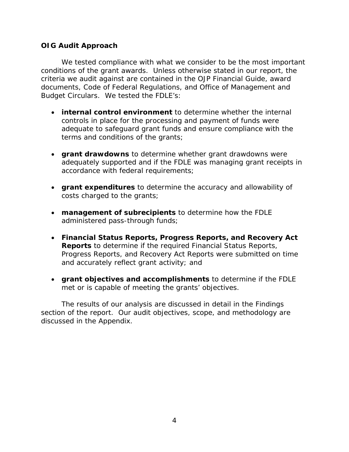## <span id="page-10-0"></span>**OIG Audit Approach**

 conditions of the grant awards. Unless otherwise stated in our report, the We tested compliance with what we consider to be the most important criteria we audit against are contained in the *OJP Financial Guide*, award documents, Code of Federal Regulations, and Office of Management and Budget Circulars. We tested the FDLE's:

- • **internal control environment** to determine whether the internal controls in place for the processing and payment of funds were adequate to safeguard grant funds and ensure compliance with the terms and conditions of the grants;
- • **grant drawdowns** to determine whether grant drawdowns were adequately supported and if the FDLE was managing grant receipts in accordance with federal requirements;
- **grant expenditures** to determine the accuracy and allowability of costs charged to the grants;
- • **management of subrecipients** to determine how the FDLE administered pass-through funds;
- • **Financial Status Reports, Progress Reports, and Recovery Act Reports** to determine if the required Financial Status Reports, Progress Reports, and Recovery Act Reports were submitted on time and accurately reflect grant activity; and
- • **grant objectives and accomplishments** to determine if the FDLE met or is capable of meeting the grants' objectives. met or is capable of meeting the grants' objectives.<br>The results of our analysis are discussed in detail in the Findings

section of the report. Our audit objectives, scope, and methodology are discussed in the Appendix.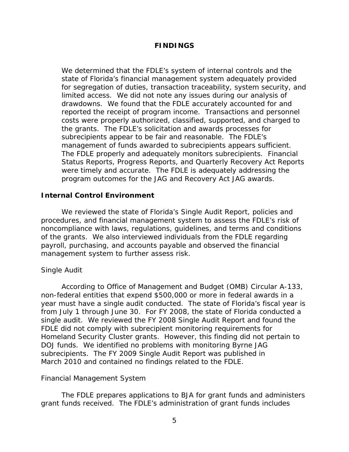## **FINDINGS**

<span id="page-11-0"></span> limited access. We did not note any issues during our analysis of drawdowns. We found that the FDLE accurately accounted for and reported the receipt of program income. Transactions and personnel the grants. The FDLE's solicitation and awards processes for management of funds awarded to subrecipients appears sufficient. were timely and accurate. The FDLE is adequately addressing the We determined that the FDLE's system of internal controls and the state of Florida's financial management system adequately provided for segregation of duties, transaction traceability, system security, and costs were properly authorized, classified, supported, and charged to subrecipients appear to be fair and reasonable. The FDLE's The FDLE properly and adequately monitors subrecipients. Financial Status Reports, Progress Reports, and Quarterly Recovery Act Reports program outcomes for the JAG and Recovery Act JAG awards.

## **Internal Control Environment**

 of the grants. We also interviewed individuals from the FDLE regarding We reviewed the state of Florida's Single Audit Report, policies and procedures, and financial management system to assess the FDLE's risk of noncompliance with laws, regulations, guidelines, and terms and conditions payroll, purchasing, and accounts payable and observed the financial management system to further assess risk.

## *Single Audit*

 single audit. We reviewed the FY 2008 Single Audit Report and found the FDLE did not comply with subrecipient monitoring requirements for Homeland Security Cluster grants. However, this finding did not pertain to DOJ funds. We identified no problems with monitoring Byrne JAG According to Office of Management and Budget (OMB) Circular A-133, non-federal entities that expend \$500,000 or more in federal awards in a year must have a single audit conducted. The state of Florida's fiscal year is from July 1 through June 30. For FY 2008, the state of Florida conducted a subrecipients. The FY 2009 Single Audit Report was published in March 2010 and contained no findings related to the FDLE.

#### *Financial Management System*

 grant funds received. The FDLE's administration of grant funds includes The FDLE prepares applications to BJA for grant funds and administers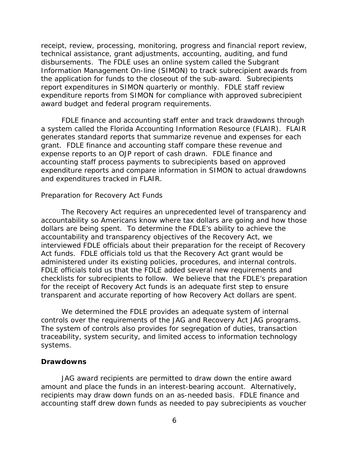<span id="page-12-0"></span> disbursements. The FDLE uses an online system called the Subgrant report expenditures in SIMON quarterly or monthly. FDLE staff review receipt, review, processing, monitoring, progress and financial report review, technical assistance, grant adjustments, accounting, auditing, and fund Information Management On-line (SIMON) to track subrecipient awards from the application for funds to the closeout of the sub-award. Subrecipients expenditure reports from SIMON for compliance with approved subrecipient award budget and federal program requirements.

 a system called the Florida Accounting Information Resource (FLAIR). FLAIR grant. FDLE finance and accounting staff compare these revenue and expense reports to an OJP report of cash drawn. FDLE finance and FDLE finance and accounting staff enter and track drawdowns through generates standard reports that summarize revenue and expenses for each accounting staff process payments to subrecipients based on approved expenditure reports and compare information in SIMON to actual drawdowns and expenditures tracked in FLAIR.

#### *Preparation for Recovery Act Funds*

 dollars are being spent. To determine the FDLE's ability to achieve the Act funds. FDLE officials told us that the Recovery Act grant would be administered under its existing policies, procedures, and internal controls. administered under its existing policies, procedures, and internal controls.<br>FDLE officials told us that the FDLE added several new requirements and checklists for subrecipients to follow. We believe that the FDLE's preparation The Recovery Act requires an unprecedented level of transparency and accountability so Americans know where tax dollars are going and how those accountability and transparency objectives of the Recovery Act, we interviewed FDLE officials about their preparation for the receipt of Recovery for the receipt of Recovery Act funds is an adequate first step to ensure transparent and accurate reporting of how Recovery Act dollars are spent.

 We determined the FDLE provides an adequate system of internal controls over the requirements of the JAG and Recovery Act JAG programs. The system of controls also provides for segregation of duties, transaction traceability, system security, and limited access to information technology systems.

#### **Drawdowns**

 amount and place the funds in an interest-bearing account. Alternatively, JAG award recipients are permitted to draw down the entire award recipients may draw down funds on an as-needed basis. FDLE finance and accounting staff drew down funds as needed to pay subrecipients as voucher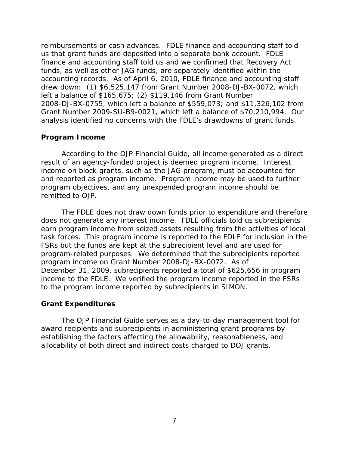<span id="page-13-0"></span> reimbursements or cash advances. FDLE finance and accounting staff told accounting records. As of April 6, 2010, FDLE finance and accounting staff left a balance of  $$165,675;$  (2)  $$119,146$  from Grant Number Grant Number 2009-SU-B9-0021, which left a balance of \$70,210,994. Our analysis identified no concerns with the FDLE's drawdowns of grant funds. us that grant funds are deposited into a separate bank account. FDLE finance and accounting staff told us and we confirmed that Recovery Act funds, as well as other JAG funds, are separately identified within the drew down: (1) \$6,525,147 from Grant Number 2008-DJ-BX-0072, which 2008-DJ-BX-0755, which left a balance of \$559,073; and \$11,326,102 from

#### **Program Income**

 According to the *OJP Financial Guide*, all income generated as a direct income on block grants, such as the JAG program, must be accounted for program objectives, and any unexpended program income should be result of an agency-funded project is deemed program income. Interest and reported as program income. Program income may be used to further remitted to OJP.

 task forces. This program income is reported to the FDLE for inclusion in the FSRs but the funds are kept at the subrecipient level and are used for program income on Grant Number 2008-DJ-BX-0072. As of The FDLE does not draw down funds prior to expenditure and therefore does not generate any interest income. FDLE officials told us subrecipients earn program income from seized assets resulting from the activities of local program-related purposes. We determined that the subrecipients reported December 31, 2009, subrecipients reported a total of \$625,656 in program income to the FDLE. We verified the program income reported in the FSRs to the program income reported by subrecipients in SIMON.

## **Grant Expenditures**

 The *OJP Financial Guide* serves as a day-to-day management tool for award recipients and subrecipients in administering grant programs by establishing the factors affecting the allowability, reasonableness, and allocability of both direct and indirect costs charged to DOJ grants.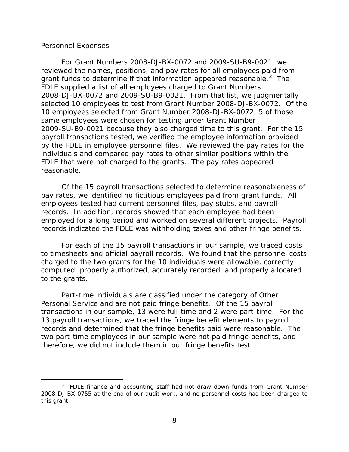#### <span id="page-14-0"></span>*Personnel Expenses*

 $\overline{a}$ 

grant funds to determine if that information appeared reasonable.<sup>[3](#page-14-1)</sup> The FDLE supplied a list of all employees charged to Grant Numbers 2009-SU-B9-0021 because they also charged time to this grant. For the 15 For Grant Numbers 2008-DJ-BX-0072 and 2009-SU-B9-0021, we reviewed the names, positions, and pay rates for all employees paid from 2008-DJ-BX-0072 and 2009-SU-B9-0021. From that list, we judgmentally selected 10 employees to test from Grant Number 2008-DJ-BX-0072. Of the 10 employees selected from Grant Number 2008-DJ-BX-0072, 5 of those same employees were chosen for testing under Grant Number payroll transactions tested, we verified the employee information provided by the FDLE in employee personnel files. We reviewed the pay rates for the individuals and compared pay rates to other similar positions within the FDLE that were not charged to the grants. The pay rates appeared reasonable.

Of the 15 payroll transactions selected to determine reasonableness of pay rates, we identified no fictitious employees paid from grant funds. All employees tested had current personnel files, pay stubs, and payroll records. In addition, records showed that each employee had been employed for a long period and worked on several different projects. Payroll

 records indicated the FDLE was withholding taxes and other fringe benefits. For each of the 15 payroll transactions in our sample, we traced costs to the grants. to timesheets and official payroll records. We found that the personnel costs charged to the two grants for the 10 individuals were allowable, correctly computed, properly authorized, accurately recorded, and properly allocated

 Personal Service and are not paid fringe benefits. Of the 15 payroll Part-time individuals are classified under the category of Other transactions in our sample, 13 were full-time and 2 were part-time. For the 13 payroll transactions, we traced the fringe benefit elements to payroll records and determined that the fringe benefits paid were reasonable. The two part-time employees in our sample were not paid fringe benefits, and therefore, we did not include them in our fringe benefits test.

<span id="page-14-1"></span><sup>&</sup>lt;sup>3</sup> FDLE finance and accounting staff had not draw down funds from Grant Number 2008-DJ-BX-0755 at the end of our audit work, and no personnel costs had been charged to this grant.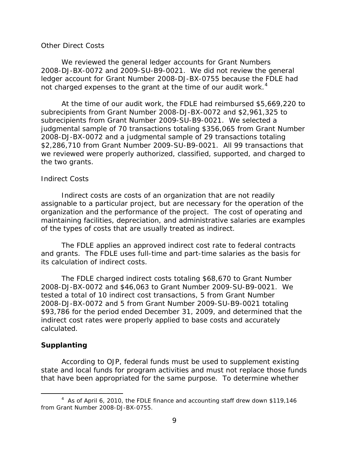#### <span id="page-15-0"></span> *Other Direct Costs*

 2008-DJ-BX-0072 and 2009-SU-B9-0021. We did not review the general not charged expenses to the grant at the time of our audit work.<sup>4</sup> We reviewed the general ledger accounts for Grant Numbers ledger account for Grant Number 2008-DJ-BX-0755 because the FDLE had

 subrecipients from Grant Number 2009-SU-B9-0021. We selected a the two grants. At the time of our audit work, the FDLE had reimbursed \$5,669,220 to subrecipients from Grant Number 2008-DJ-BX-0072 and \$2,961,325 to judgmental sample of 70 transactions totaling \$356,065 from Grant Number 2008-DJ-BX-0072 and a judgmental sample of 29 transactions totaling \$2,286,710 from Grant Number 2009-SU-B9-0021. All 99 transactions that we reviewed were properly authorized, classified, supported, and charged to

#### *Indirect Costs*

Indirect costs are costs of an organization that are not readily assignable to a particular project, but are necessary for the operation of the organization and the performance of the project. The cost of operating and maintaining facilities, depreciation, and administrative salaries are examples of the types of costs that are usually treated as indirect.

The FDLE applies an approved indirect cost rate to federal contracts and grants. The FDLE uses full-time and part-time salaries as the basis for its calculation of indirect costs.

The FDLE charged indirect costs totaling \$68,670 to Grant Number 2008-DJ-BX-0072 and \$46,063 to Grant Number 2009-SU-B9-0021. We tested a total of 10 indirect cost transactions, 5 from Grant Number 2008-DJ-BX-0072 and 5 from Grant Number 2009-SU-B9-0021 totaling \$93,786 for the period ended December 31, 2009, and determined that the indirect cost rates were properly applied to base costs and accurately calculated.

#### **Supplanting**

-

 that have been appropriated for the same purpose. To determine whether According to OJP, federal funds must be used to supplement existing state and local funds for program activities and must not replace those funds

<span id="page-15-1"></span> from Grant Number 2008-DJ-BX-0755. <sup>4</sup> As of April 6, 2010, the FDLE finance and accounting staff drew down \$119,146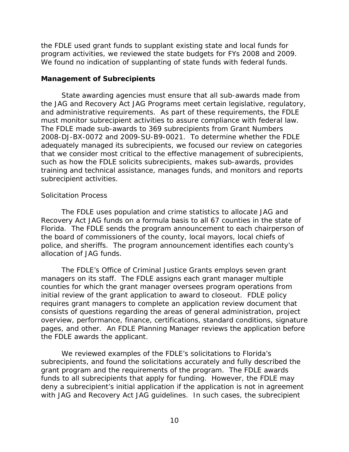<span id="page-16-0"></span> program activities, we reviewed the state budgets for FYs 2008 and 2009. the FDLE used grant funds to supplant existing state and local funds for We found no indication of supplanting of state funds with federal funds.

#### **Management of Subrecipients**

 and administrative requirements. As part of these requirements, the FDLE The FDLE made sub-awards to 369 subrecipients from Grant Numbers such as how the FDLE solicits subrecipients, makes sub-awards, provides subrecipient activities. State awarding agencies must ensure that all sub-awards made from the JAG and Recovery Act JAG Programs meet certain legislative, regulatory, must monitor subrecipient activities to assure compliance with federal law. 2008-DJ-BX-0072 and 2009-SU-B9-0021. To determine whether the FDLE adequately managed its subrecipients, we focused our review on categories that we consider most critical to the effective management of subrecipients, training and technical assistance, manages funds, and monitors and reports

## *Solicitation Process*

 Recovery Act JAG funds on a formula basis to all 67 counties in the state of The FDLE uses population and crime statistics to allocate JAG and Florida. The FDLE sends the program announcement to each chairperson of the board of commissioners of the county, local mayors, local chiefs of police, and sheriffs. The program announcement identifies each county's allocation of JAG funds.

 managers on its staff. The FDLE assigns each grant manager multiple counties for which the grant manager oversees program operations from initial review of the grant application to award to closeout. FDLE policy requires grant managers to complete an application review document that consists of questions regarding the areas of general administration, project pages, and other. An FDLE Planning Manager reviews the application before The FDLE's Office of Criminal Justice Grants employs seven grant overview, performance, finance, certifications, standard conditions, signature the FDLE awards the applicant.

 subrecipients, and found the solicitations accurately and fully described the grant program and the requirements of the program. The FDLE awards funds to all subrecipients that apply for funding. However, the FDLE may with JAG and Recovery Act JAG guidelines. In such cases, the subrecipient We reviewed examples of the FDLE's solicitations to Florida's deny a subrecipient's initial application if the application is not in agreement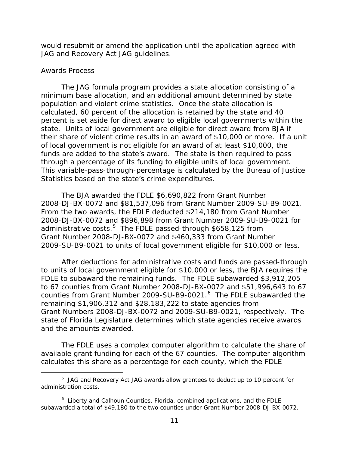<span id="page-17-0"></span>would resubmit or amend the application until the application agreed with JAG and Recovery Act JAG guidelines.

#### *Awards Process*

-

 population and violent crime statistics. Once the state allocation is funds are added to the state's award. The state is then required to pass through a percentage of its funding to eligible units of local government. through a percentage of its funding to eligible units of local government.<br>This variable-pass-through-percentage is calculated by the Bureau of Justice The JAG formula program provides a state allocation consisting of a minimum base allocation, and an additional amount determined by state calculated, 60 percent of the allocation is retained by the state and 40 percent is set aside for direct award to eligible local governments within the state. Units of local government are eligible for direct award from BJA if their share of violent crime results in an award of \$10,000 or more. If a unit of local government is not eligible for an award of at least \$10,000, the Statistics based on the state's crime expenditures.

2008-DJ-BX-0072 and \$81,537,096 from Grant Number 2009-SU-B9-0021.<br>From the two awards, the FDLE deducted \$214,180 from Grant Number From the two awards, the FDLE deducted \$214,180 from Grant Number administrative costs.<sup>[5](#page-17-1)</sup> The FDLE passed-through \$658,125 from The BJA awarded the FDLE \$6,690,822 from Grant Number 2008-DJ-BX-0072 and \$896,898 from Grant Number 2009-SU-B9-0021 for Grant Number 2008-DJ-BX-0072 and \$460,333 from Grant Number

 FDLE to subaward the remaining funds. The FDLE subawarded \$3,912,205 2009-SU-B9-0021 to units of local government eligible for \$10,000 or less. After deductions for administrative costs and funds are passed-through counties from Grant Number 2009-SU-B9-0021.<sup>[6](#page-17-2)</sup> The FDLE subawarded the Grant Numbers 2008-DJ-BX-0072 and 2009-SU-B9-0021, respectively. The and the amounts awarded. to units of local government eligible for \$10,000 or less, the BJA requires the to 67 counties from Grant Number 2008-DJ-BX-0072 and \$51,996,643 to 67 remaining \$1,906,312 and \$28,183,222 to state agencies from state of Florida Legislature determines which state agencies receive awards

and the amounts awarded.<br>The FDLE uses a complex computer algorithm to calculate the share of available grant funding for each of the 67 counties. The computer algorithm calculates this share as a percentage for each county, which the FDLE

<span id="page-17-1"></span> $5$  JAG and Recovery Act JAG awards allow grantees to deduct up to 10 percent for administration costs.

<span id="page-17-2"></span> subawarded a total of \$49,180 to the two counties under Grant Number 2008-DJ-BX-0072.  $6$  Liberty and Calhoun Counties, Florida, combined applications, and the FDLE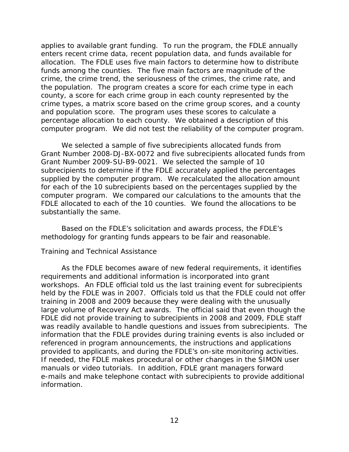<span id="page-18-0"></span> applies to available grant funding. To run the program, the FDLE annually enters recent crime data, recent population data, and funds available for allocation. The FDLE uses five main factors to determine how to distribute the population. The program creates a score for each crime type in each percentage allocation to each county. We obtained a description of this funds among the counties. The five main factors are magnitude of the crime, the crime trend, the seriousness of the crimes, the crime rate, and county, a score for each crime group in each county represented by the crime types, a matrix score based on the crime group scores, and a county and population score. The program uses these scores to calculate a computer program. We did not test the reliability of the computer program.

 Grant Number 2009-SU-B9-0021. We selected the sample of 10 supplied by the computer program. We recalculated the allocation amount computer program. We compared our calculations to the amounts that the FDLE allocated to each of the 10 counties. We found the allocations to be We selected a sample of five subrecipients allocated funds from Grant Number 2008-DJ-BX-0072 and five subrecipients allocated funds from subrecipients to determine if the FDLE accurately applied the percentages for each of the 10 subrecipients based on the percentages supplied by the substantially the same.

 methodology for granting funds appears to be fair and reasonable. Based on the FDLE's solicitation and awards process, the FDLE's

## *Training and Technical Assistance*

 workshops. An FDLE official told us the last training event for subrecipients held by the FDLE was in 2007. Officials told us that the FDLE could not offer training in 2008 and 2009 because they were dealing with the unusually large volume of Recovery Act awards. The official said that even though the was readily available to handle questions and issues from subrecipients. The information that the FDLE provides during training events is also included or As the FDLE becomes aware of new federal requirements, it identifies requirements and additional information is incorporated into grant FDLE did not provide training to subrecipients in 2008 and 2009, FDLE staff referenced in program announcements, the instructions and applications provided to applicants, and during the FDLE's on-site monitoring activities. If needed, the FDLE makes procedural or other changes in the SIMON user manuals or video tutorials. In addition, FDLE grant managers forward e-mails and make telephone contact with subrecipients to provide additional information.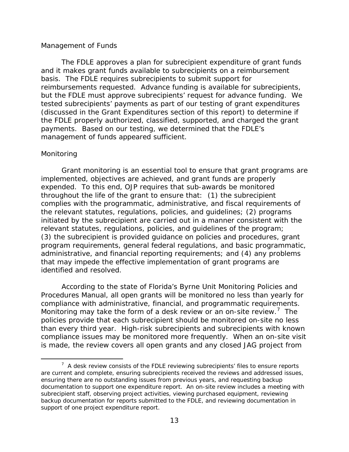#### <span id="page-19-0"></span>*Management of Funds*

 basis. The FDLE requires subrecipients to submit support for but the FDLE must approve subrecipients' request for advance funding. We management of funds appeared sufficient. The FDLE approves a plan for subrecipient expenditure of grant funds and it makes grant funds available to subrecipients on a reimbursement reimbursements requested. Advance funding is available for subrecipients, tested subrecipients' payments as part of our testing of grant expenditures (discussed in the Grant Expenditures section of this report) to determine if the FDLE properly authorized, classified, supported, and charged the grant payments. Based on our testing, we determined that the FDLE's

## *Monitoring*

 $\overline{a}$ 

identified and resolved. Grant monitoring is an essential tool to ensure that grant programs are implemented, objectives are achieved, and grant funds are properly expended. To this end, OJP requires that sub-awards be monitored throughout the life of the grant to ensure that: (1) the subrecipient complies with the programmatic, administrative, and fiscal requirements of the relevant statutes, regulations, policies, and guidelines; (2) programs initiated by the subrecipient are carried out in a manner consistent with the relevant statutes, regulations, policies, and guidelines of the program; (3) the subrecipient is provided guidance on policies and procedures, grant program requirements, general federal regulations, and basic programmatic, administrative, and financial reporting requirements; and (4) any problems that may impede the effective implementation of grant programs are

compliance with administrative, financial, and programmatic requirements. co[m](#page-19-1)pliance with administrative, financial, and programmatic requirements.<br>Monitoring may take the form of a desk review or an on-site review.<sup>[7](#page-19-1)</sup> The policies provide that each subrecipient should be monitored on-site no less compliance issues may be monitored more frequently. When an on-site visit According to the state of Florida's Byrne Unit Monitoring Policies and Procedures Manual, all open grants will be monitored no less than yearly for than every third year. High-risk subrecipients and subrecipients with known is made, the review covers all open grants and any closed JAG project from

<span id="page-19-1"></span> are current and complete, ensuring subrecipients received the reviews and addressed issues, ensuring there are no outstanding issues from previous years, and requesting backup documentation to support one expenditure report. An on-site review includes a meeting with backup documentation for reports submitted to the FDLE, and reviewing documentation in support of one project expenditure report.  $7$  A desk review consists of the FDLE reviewing subrecipients' files to ensure reports subrecipient staff, observing project activities, viewing purchased equipment, reviewing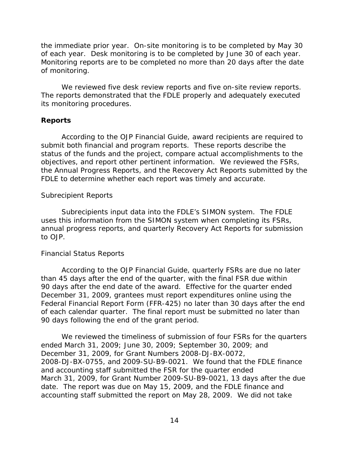<span id="page-20-0"></span> the immediate prior year. On-site monitoring is to be completed by May 30 of each year. Desk monitoring is to be completed by June 30 of each year. Monitoring reports are to be completed no more than 20 days after the date of monitoring.

 We reviewed five desk review reports and five on-site review reports. its monitoring procedures. The reports demonstrated that the FDLE properly and adequately executed

## **Reports**

 According to the *OJP Financial Guide*, award recipients are required to status of the funds and the project, compare actual accomplishments to the objectives, and report other pertinent information. We reviewed the FSRs, submit both financial and program reports. These reports describe the the Annual Progress Reports, and the Recovery Act Reports submitted by the FDLE to determine whether each report was timely and accurate.

## *Subrecipient Reports*

 Subrecipients input data into the FDLE's SIMON system. The FDLE uses this information from the SIMON system when completing its FSRs, annual progress reports, and quarterly Recovery Act Reports for submission to OJP.

## *Financial Status Reports*

 According to the *OJP Financial Guide*, quarterly FSRs are due no later than 45 days after the end of the quarter, with the final FSR due within 90 days after the end date of the award. Effective for the quarter ended December 31, 2009, grantees must report expenditures online using the Federal Financial Report Form (FFR-425) no later than 30 days after the end of each calendar quarter. The final report must be submitted no later than 90 days following the end of the grant period.

 December 31, 2009, for Grant Numbers 2008-DJ-BX-0072, March 31, 2009, for Grant Number 2009-SU-B9-0021, 13 days after the due date. The report was due on May 15, 2009, and the FDLE finance and We reviewed the timeliness of submission of four FSRs for the quarters ended March 31, 2009; June 30, 2009; September 30, 2009; and 2008-DJ-BX-0755, and 2009-SU-B9-0021. We found that the FDLE finance and accounting staff submitted the FSR for the quarter ended accounting staff submitted the report on May 28, 2009. We did not take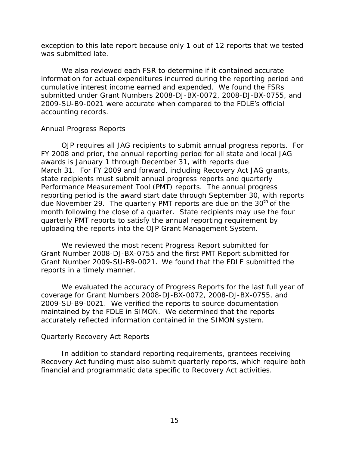<span id="page-21-0"></span>exception to this late report because only 1 out of 12 reports that we tested was submitted late.

 cumulative interest income earned and expended. We found the FSRs We also reviewed each FSR to determine if it contained accurate information for actual expenditures incurred during the reporting period and submitted under Grant Numbers 2008-DJ-BX-0072, 2008-DJ-BX-0755, and 2009-SU-B9-0021 were accurate when compared to the FDLE's official accounting records.

## *Annual Progress Reports*

 Performance Measurement Tool (PMT) reports. The annual progress due November 29. The quarterly PMT reports are due on the 30<sup>th</sup> of the OJP requires all JAG recipients to submit annual progress reports. For FY 2008 and prior, the annual reporting period for all state and local JAG awards is January 1 through December 31, with reports due March 31. For FY 2009 and forward, including Recovery Act JAG grants, state recipients must submit annual progress reports and quarterly reporting period is the award start date through September 30, with reports month following the close of a quarter. State recipients may use the four quarterly PMT reports to satisfy the annual reporting requirement by uploading the reports into the OJP Grant Management System.

 Grant Number 2009-SU-B9-0021. We found that the FDLE submitted the reports in a timely manner. We reviewed the most recent Progress Report submitted for Grant Number 2008-DJ-BX-0755 and the first PMT Report submitted for

 2009-SU-B9-0021. We verified the reports to source documentation maintained by the FDLE in SIMON. We determined that the reports accurately reflected information contained in the SIMON system. We evaluated the accuracy of Progress Reports for the last full year of coverage for Grant Numbers 2008-DJ-BX-0072, 2008-DJ-BX-0755, and

## *Quarterly Recovery Act Reports*

 financial and programmatic data specific to Recovery Act activities. In addition to standard reporting requirements, grantees receiving Recovery Act funding must also submit quarterly reports, which require both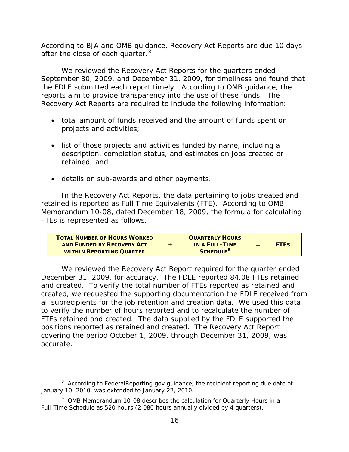after the close of each quarter.<sup>[8](#page-22-0)</sup> According to BJA and OMB guidance, Recovery Act Reports are due 10 days

 the FDLE submitted each report timely. According to OMB guidance, the We reviewed the Recovery Act Reports for the quarters ended September 30, 2009, and December 31, 2009, for timeliness and found that reports aim to provide transparency into the use of these funds. The Recovery Act Reports are required to include the following information:

- total amount of funds received and the amount of funds spent on projects and activities;
- list of those projects and activities funded by name, including a description, completion status, and estimates on jobs created or retained; and
- • details on sub-awards and other payments.

In the Recovery Act Reports, the data pertaining to jobs created and retained is reported as Full Time Equivalents (FTE). According to OMB Memorandum 10-08, dated December 18, 2009, the formula for calculating FTEs is represented as follows.

| <b>TOTAL NUMBER OF HOURS WORKED</b> |   | <b>QUARTERLY HOURS</b>      |     |             |
|-------------------------------------|---|-----------------------------|-----|-------------|
| AND FUNDED BY RECOVERY ACT          | ÷ | IN A FULL-TIME              | $=$ | <b>FTFS</b> |
| <b>WITHIN REPORTING QUARTER</b>     |   | <b>SCHEDULE<sup>9</sup></b> |     |             |

 and created. To verify the total number of FTEs reported as retained and FTEs retained and created. The data supplied by the FDLE supported the positions reported as retained and created. The Recovery Act Report covering the period October 1, 2009, through December 31, 2009, was accurate. accurate.<br>**8 According to FederalReporting.gov** guidance, the recipient reporting due date of We reviewed the Recovery Act Report required for the quarter ended December 31, 2009, for accuracy. The FDLE reported 84.08 FTEs retained created, we requested the supporting documentation the FDLE received from all subrecipients for the job retention and creation data. We used this data to verify the number of hours reported and to recalculate the number of

-

<span id="page-22-0"></span> January 10, 2010, was extended to January 22, 2010.

 $9$  OMB Memorandum 10-08 describes the calculation for Quarterly Hours in a Full-Time Schedule as 520 hours (2,080 hours annually divided by 4 quarters).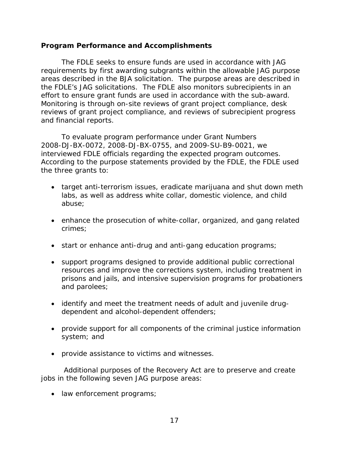## <span id="page-23-0"></span>**Program Performance and Accomplishments**

 The FDLE seeks to ensure funds are used in accordance with JAG areas described in the BJA solicitation. The purpose areas are described in the FDLE's JAG solicitations. The FDLE also monitors subrecipients in an effort to ensure grant funds are used in accordance with the sub-award. requirements by first awarding subgrants within the allowable JAG purpose Monitoring is through on-site reviews of grant project compliance, desk reviews of grant project compliance, and reviews of subrecipient progress and financial reports.

To evaluate program performance under Grant Numbers interviewed FDLE officials regarding the expected program outcomes. interviewed FDLE officials regarding the expected program outcomes.<br>According to the purpose statements provided by the FDLE, the FDLE used the three grants to: 2008-DJ-BX-0072, 2008-DJ-BX-0755, and 2009-SU-B9-0021, we

- labs, as well as address white collar, domestic violence, and child • target anti-terrorism issues, eradicate marijuana and shut down meth abuse;
- crimes; • enhance the prosecution of white-collar, organized, and gang related
- start or enhance anti-drug and anti-gang education programs;
- support programs designed to provide additional public correctional resources and improve the corrections system, including treatment in prisons and jails, and intensive supervision programs for probationers and parolees;
- identify and meet the treatment needs of adult and juvenile drugdependent and alcohol-dependent offenders;
- provide support for all components of the criminal justice information system; and
- provide assistance to victims and witnesses.

Additional purposes of the Recovery Act are to preserve and create jobs in the following seven JAG purpose areas:

• law enforcement programs;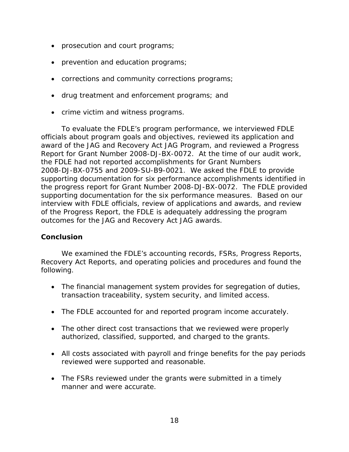- <span id="page-24-0"></span>• prosecution and court programs;
- prevention and education programs;
- corrections and community corrections programs;
- drug treatment and enforcement programs; and
- • crime victim and witness programs.

 2008-DJ-BX-0755 and 2009-SU-B9-0021. We asked the FDLE to provide To evaluate the FDLE's program performance, we interviewed FDLE officials about program goals and objectives, reviewed its application and award of the JAG and Recovery Act JAG Program, and reviewed a Progress Report for Grant Number 2008-DJ-BX-0072. At the time of our audit work, the FDLE had not reported accomplishments for Grant Numbers supporting documentation for six performance accomplishments identified in the progress report for Grant Number 2008-DJ-BX-0072. The FDLE provided supporting documentation for the six performance measures. Based on our interview with FDLE officials, review of applications and awards, and review of the Progress Report, the FDLE is adequately addressing the program outcomes for the JAG and Recovery Act JAG awards.

## **Conclusion**

 We examined the FDLE's accounting records, FSRs, Progress Reports, Recovery Act Reports, and operating policies and procedures and found the following.

- The financial management system provides for segregation of duties, transaction traceability, system security, and limited access.
- The FDLE accounted for and reported program income accurately.
- The other direct cost transactions that we reviewed were properly authorized, classified, supported, and charged to the grants.
- All costs associated with payroll and fringe benefits for the pay periods reviewed were supported and reasonable.
- The FSRs reviewed under the grants were submitted in a timely manner and were accurate.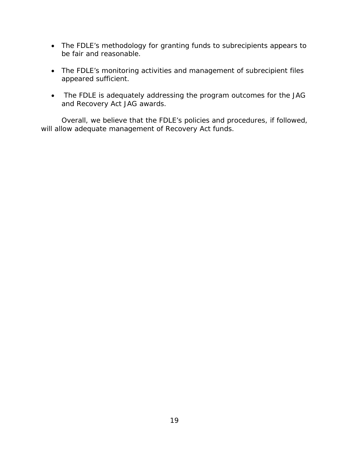- The FDLE's methodology for granting funds to subrecipients appears to be fair and reasonable.
- The FDLE's monitoring activities and management of subrecipient files appeared sufficient.
- and Recovery Act JAG awards. • The FDLE is adequately addressing the program outcomes for the JAG

Overall, we believe that the FDLE's policies and procedures, if followed, will allow adequate management of Recovery Act funds.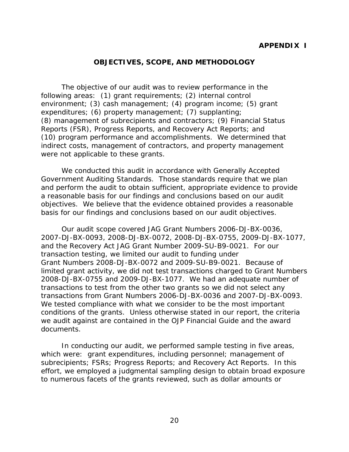## **OBJECTIVES, SCOPE, AND METHODOLOGY**

<span id="page-26-0"></span> environment; (3) cash management; (4) program income; (5) grant expenditures; (6) property management; (7) supplanting; The objective of our audit was to review performance in the following areas: (1) grant requirements; (2) internal control (8) management of subrecipients and contractors; (9) Financial Status Reports (FSR), Progress Reports, and Recovery Act Reports; and (10) program performance and accomplishments. We determined that indirect costs, management of contractors, and property management were not applicable to these grants.

We conducted this audit in accordance with Generally Accepted Government Auditing Standards. Those standards require that we plan and perform the audit to obtain sufficient, appropriate evidence to provide a reasonable basis for our findings and conclusions based on our audit objectives. We believe that the evidence obtained provides a reasonable

basis for our findings and conclusions based on our audit objectives.<br>Our audit scope covered JAG Grant Numbers 2006-DJ-BX-0036, Grant Numbers 2008-DJ-BX-0072 and 2009-SU-B9-0021. Because of transactions from Grant Numbers 2006-DJ-BX-0036 and 2007-DJ-BX-0093. 2007-DJ-BX-0093, 2008-DJ-BX-0072, 2008-DJ-BX-0755, 2009-DJ-BX-1077, and the Recovery Act JAG Grant Number 2009-SU-B9-0021. For our transaction testing, we limited our audit to funding under limited grant activity, we did not test transactions charged to Grant Numbers 2008-DJ-BX-0755 and 2009-DJ-BX-1077. We had an adequate number of transactions to test from the other two grants so we did not select any We tested compliance with what we consider to be the most important conditions of the grants. Unless otherwise stated in our report, the criteria we audit against are contained in the *OJP Financial Guide* and the award documents.

 subrecipients; FSRs; Progress Reports; and Recovery Act Reports. In this In conducting our audit, we performed sample testing in five areas, which were: grant expenditures, including personnel; management of effort, we employed a judgmental sampling design to obtain broad exposure to numerous facets of the grants reviewed, such as dollar amounts or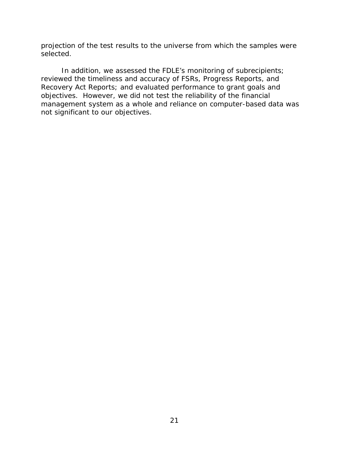projection of the test results to the universe from which the samples were selected.

In addition, we assessed the FDLE's monitoring of subrecipients; reviewed the timeliness and accuracy of FSRs, Progress Reports, and Recovery Act Reports; and evaluated performance to grant goals and objectives. However, we did not test the reliability of the financial management system as a whole and reliance on computer-based data was not significant to our objectives.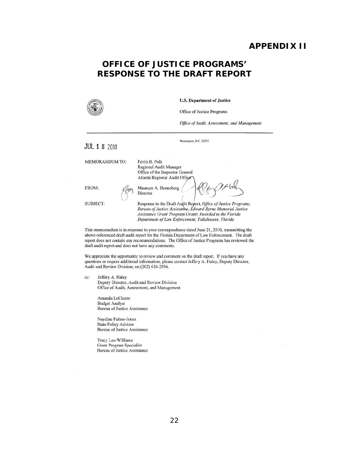## **APPENDIX II**

# **RESPONSE TO THE DRAFT REPORT OFFICE OF JUSTICE PROGRAMS'**



U.S. Department of Justice

Office of Justice Programs

Washington, D.C. 20531

*Office af Audil. Assessment. und Mmwgemem* 

**JUL 1 5 2010** 

MEMORANDUM TO: Ferris B. Polk

Regional Audit Manager Officc of the Inspector General Atlanta Regional Audit Office<br>FROM: (point of the prime of the prime of the prime of the prime of the prime of the point of the point of the point of the point of the point of the point of the point of the point of the poi

SUBJECT: Response to the Draft Audit Report, Office of Justice Programs. **Bureau** of Justice Assistance, *Édward Byrne Memorial Justice* **Assistance Grant Program Grants Awarded to the Florida Department of Law Enforcement, Tallahassee, Florida** 

This memorandum is in response to your correspondence dated June 21, 2010, transmitting the above-referenced draft audit report for the Florida Department of Law Enforcement. The draft report does not contain any recommendations. The Office of Justice Programs has reviewed the draft audit report and does not have any comments.

We appreciate the opportunity to review and comment on the draft report. If you have any questions or require additional information, please contact Jeffery A. Haley, Deputy Director, Audit and Review Division, on (202) 616·2936.

*ce:* leffery A, Haley Deputy Director, Audit and Review Division Office of Audit, Assessment, and Management

> Amanda LoCicero Budget Analyst Bureau of Justice Assistance

Naydine Fulton·Jones State Policy Advisor Bureau of Justice Assistance

Tracy Lee·Williams Grant Program Specialist Bureau of Justice Assistance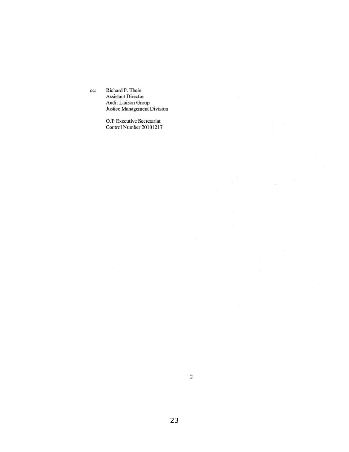cc: Riehard P. Theis Assistant Director Audit Liaison Group Justice Management Division

> OJP Executive Secretarial Control Number 20101217

2